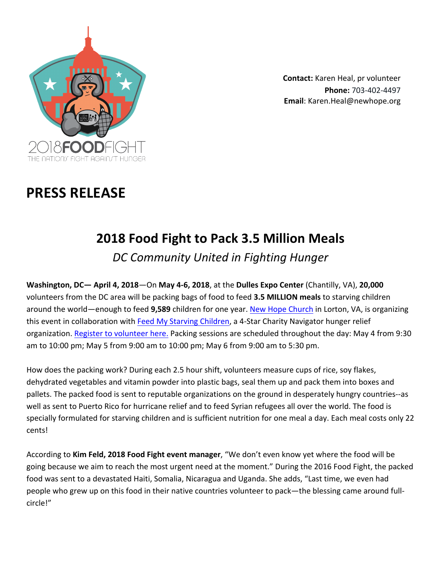

**Contact:** Karen Heal, pr volunteer **Phone:** 703-402-4497 **Email**: Karen.Heal@newhope.org

# **PRESS RELEASE**

## **2018 Food Fight to Pack 3.5 Million Meals**

*DC Community United in Fighting Hunger*

**Washington, DC— April 4, 2018—On May 4-6, 2018**, at the Dulles Expo Center (Chantilly, VA), 20,000 volunteers from the DC area will be packing bags of food to feed **3.5 MILLION meals** to starving children around the world—enough to feed 9,589 children for one year. New Hope Church in Lorton, VA, is organizing this event in collaboration with Feed My Starving Children, a 4-Star Charity Navigator hunger relief organization. Register to volunteer here. Packing sessions are scheduled throughout the day: May 4 from 9:30 am to 10:00 pm; May 5 from 9:00 am to 10:00 pm; May 6 from 9:00 am to 5:30 pm.

How does the packing work? During each 2.5 hour shift, volunteers measure cups of rice, soy flakes, dehydrated vegetables and vitamin powder into plastic bags, seal them up and pack them into boxes and pallets. The packed food is sent to reputable organizations on the ground in desperately hungry countries--as well as sent to Puerto Rico for hurricane relief and to feed Syrian refugees all over the world. The food is specially formulated for starving children and is sufficient nutrition for one meal a day. Each meal costs only 22 cents! 

According to Kim Feld, 2018 Food Fight event manager, "We don't even know yet where the food will be going because we aim to reach the most urgent need at the moment." During the 2016 Food Fight, the packed food was sent to a devastated Haiti, Somalia, Nicaragua and Uganda. She adds, "Last time, we even had people who grew up on this food in their native countries volunteer to pack—the blessing came around fullcircle!"